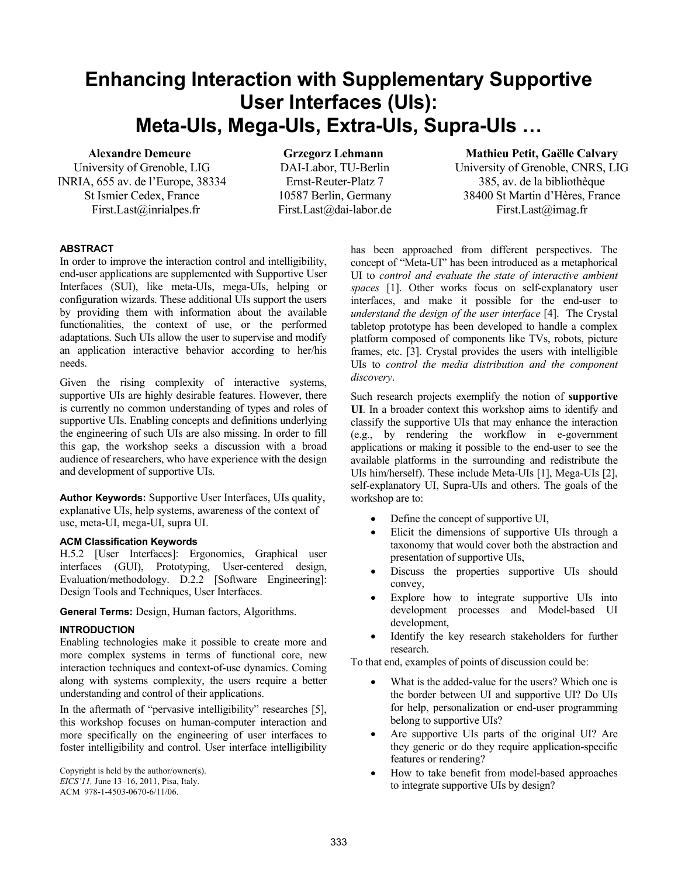# **Enhancing Interaction with Supplementary Supportive User Interfaces (UIs): Meta-UIs, Mega-UIs, Extra-UIs, Supra-UIs …**

## **Alexandre Demeure**

University of Grenoble, LIG INRIA, 655 av. de l'Europe, 38334 St Ismier Cedex, France First.Last@inrialpes.fr

**Grzegorz Lehmann**  DAI-Labor, TU-Berlin Ernst-Reuter-Platz 7 10587 Berlin, Germany First.Last@dai-labor.de

**Mathieu Petit, Gaëlle Calvary**  University of Grenoble, CNRS, LIG 385, av. de la bibliothèque 38400 St Martin d'Hères, France First.Last@imag.fr

# **ABSTRACT**

In order to improve the interaction control and intelligibility, end-user applications are supplemented with Supportive User Interfaces (SUI), like meta-UIs, mega-UIs, helping or configuration wizards. These additional UIs support the users by providing them with information about the available functionalities, the context of use, or the performed adaptations. Such UIs allow the user to supervise and modify an application interactive behavior according to her/his needs.

Given the rising complexity of interactive systems, supportive UIs are highly desirable features. However, there is currently no common understanding of types and roles of supportive UIs. Enabling concepts and definitions underlying the engineering of such UIs are also missing. In order to fill this gap, the workshop seeks a discussion with a broad audience of researchers, who have experience with the design and development of supportive UIs.

**Author Keywords:** Supportive User Interfaces, UIs quality, explanative UIs, help systems, awareness of the context of use, meta-UI, mega-UI, supra UI.

# **ACM Classification Keywords**

H.5.2 [User Interfaces]: Ergonomics, Graphical user interfaces (GUI), Prototyping, User-centered design, Evaluation/methodology. D.2.2 [Software Engineering]: Design Tools and Techniques, User Interfaces.

**General Terms:** Design, Human factors, Algorithms.

# **INTRODUCTION**

Enabling technologies make it possible to create more and more complex systems in terms of functional core, new interaction techniques and context-of-use dynamics. Coming along with systems complexity, the users require a better understanding and control of their applications.

In the aftermath of "pervasive intelligibility" researches [5], this workshop focuses on human-computer interaction and more specifically on the engineering of user interfaces to foster intelligibility and control. User interface intelligibility

Copyright is held by the author/owner(s). *EICS'11,* June 13–16, 2011, Pisa, Italy. ACM 978-1-4503-0670-6/11/06.

has been approached from different perspectives. The concept of "Meta-UI" has been introduced as a metaphorical UI to *control and evaluate the state of interactive ambient spaces* [1]. Other works focus on self-explanatory user interfaces, and make it possible for the end-user to *understand the design of the user interface* [4]. The Crystal tabletop prototype has been developed to handle a complex platform composed of components like TVs, robots, picture frames, etc. [3]. Crystal provides the users with intelligible UIs to *control the media distribution and the component discovery*.

Such research projects exemplify the notion of **supportive UI**. In a broader context this workshop aims to identify and classify the supportive UIs that may enhance the interaction (e.g., by rendering the workflow in e-government applications or making it possible to the end-user to see the available platforms in the surrounding and redistribute the UIs him/herself). These include Meta-UIs [1], Mega-UIs [2], self-explanatory UI, Supra-UIs and others. The goals of the workshop are to:

- Define the concept of supportive UI,
- Elicit the dimensions of supportive UIs through a taxonomy that would cover both the abstraction and presentation of supportive UIs,
- Discuss the properties supportive UIs should convey,
- Explore how to integrate supportive UIs into development processes and Model-based UI development,
- Identify the key research stakeholders for further research.

To that end, examples of points of discussion could be:

- What is the added-value for the users? Which one is the border between UI and supportive UI? Do UIs for help, personalization or end-user programming belong to supportive UIs?
- Are supportive UIs parts of the original UI? Are they generic or do they require application-specific features or rendering?
- How to take benefit from model-based approaches to integrate supportive UIs by design?